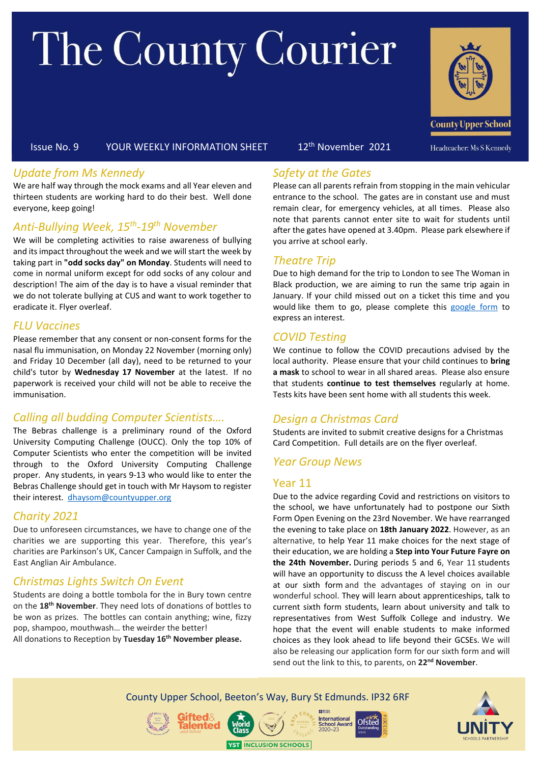# The County Courier



#### Issue No. 9 YOUR WEEKLY INFORMATION SHEET 12<sup>th</sup> November 2021

# *Update from Ms Kennedy*

We are half way through the mock exams and all Year eleven and thirteen students are working hard to do their best. Well done everyone, keep going!

# *Anti-Bullying Week, 15th -19th November*

We will be completing activities to raise awareness of bullying and its impact throughout the week and we will start the week by taking part in **"odd socks day" on Monday**. Students will need to come in normal uniform except for odd socks of any colour and description! The aim of the day is to have a visual reminder that we do not tolerate bullying at CUS and want to work together to eradicate it. Flyer overleaf.

# *FLU Vaccines*

Please remember that any consent or non-consent forms for the nasal flu immunisation, on Monday 22 November (morning only) and Friday 10 December (all day), need to be returned to your child's tutor by **Wednesday 17 November** at the latest. If no paperwork is received your child will not be able to receive the immunisation.

### *Calling all budding Computer Scientists….*

The Bebras challenge is a preliminary round of the Oxford University Computing Challenge (OUCC). Only the top 10% of Computer Scientists who enter the competition will be invited through to the Oxford University Computing Challenge proper. Any students, in years 9-13 who would like to enter the Bebras Challenge should get in touch with Mr Haysom to register their interest. [dhaysom@countyupper.org](mailto:dhaysom@countyupper.org)

#### *Charity 2021*

Due to unforeseen circumstances, we have to change one of the charities we are supporting this year. Therefore, this year's charities are Parkinson's UK, Cancer Campaign in Suffolk, and the East Anglian Air Ambulance.

### *Christmas Lights Switch On Event*

Students are doing a bottle tombola for the in Bury town centre on the **18th November**. They need lots of donations of bottles to be won as prizes. The bottles can contain anything; wine, fizzy pop, shampoo, mouthwash… the weirder the better! All donations to Reception by **Tuesday 16th November please.**

# *Safety at the Gates*

Please can all parents refrain from stopping in the main vehicular entrance to the school. The gates are in constant use and must remain clear, for emergency vehicles, at all times. Please also note that parents cannot enter site to wait for students until after the gates have opened at 3.40pm. Please park elsewhere if you arrive at school early.

### *Theatre Trip*

Due to high demand for the trip to London to see The Woman in Black production, we are aiming to run the same trip again in January. If your child missed out on a ticket this time and you would like them to go, please complete this [google](https://forms.gle/XYP3h2zZstrV5vyr8) form to express an interest.

# *COVID Testing*

We continue to follow the COVID precautions advised by the local authority. Please ensure that your child continues to **bring a mask** to school to wear in all shared areas. Please also ensure that students **continue to test themselves** regularly at home. Tests kits have been sent home with all students this week.

# *Design a Christmas Card*

Students are invited to submit creative designs for a Christmas Card Competition. Full details are on the flyer overleaf.

### *Year Group News*

#### Year 11

Due to the advice regarding Covid and restrictions on visitors to the school, we have unfortunately had to postpone our Sixth Form Open Evening on the 23rd November. We have rearranged the evening to take place on **18th January 2022**. However, as an alternative, to help Year 11 make choices for the next stage of their education, we are holding a **Step into Your Future Fayre on the 24th November.** During periods 5 and 6, Year 11 students will have an opportunity to discuss the A level choices available at our sixth form and the advantages of staying on in our wonderful school. They will learn about apprenticeships, talk to current sixth form students, learn about university and talk to representatives from West Suffolk College and industry. We hope that the event will enable students to make informed choices as they look ahead to life beyond their GCSEs. We will also be releasing our application form for our sixth form and will send out the link to this, to parents, on **22 nd November**.